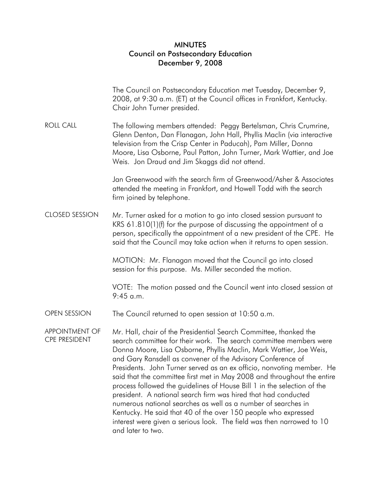## MINUTES Council on Postsecondary Education December 9, 2008

|                                               | The Council on Postsecondary Education met Tuesday, December 9,<br>2008, at 9:30 a.m. (ET) at the Council offices in Frankfort, Kentucky.<br>Chair John Turner presided.                                                                                                                                                                                                                                                                                                                                                                                                                                                                                                                                                                                                                                       |
|-----------------------------------------------|----------------------------------------------------------------------------------------------------------------------------------------------------------------------------------------------------------------------------------------------------------------------------------------------------------------------------------------------------------------------------------------------------------------------------------------------------------------------------------------------------------------------------------------------------------------------------------------------------------------------------------------------------------------------------------------------------------------------------------------------------------------------------------------------------------------|
| <b>ROLL CALL</b>                              | The following members attended: Peggy Bertelsman, Chris Crumrine,<br>Glenn Denton, Dan Flanagan, John Hall, Phyllis Maclin (via interactive<br>television from the Crisp Center in Paducah), Pam Miller, Donna<br>Moore, Lisa Osborne, Paul Patton, John Turner, Mark Wattier, and Joe<br>Weis. Jon Draud and Jim Skaggs did not attend.                                                                                                                                                                                                                                                                                                                                                                                                                                                                       |
|                                               | Jan Greenwood with the search firm of Greenwood/Asher & Associates<br>attended the meeting in Frankfort, and Howell Todd with the search<br>firm joined by telephone.                                                                                                                                                                                                                                                                                                                                                                                                                                                                                                                                                                                                                                          |
| <b>CLOSED SESSION</b>                         | Mr. Turner asked for a motion to go into closed session pursuant to<br>KRS 61.810(1)(f) for the purpose of discussing the appointment of a<br>person, specifically the appointment of a new president of the CPE. He<br>said that the Council may take action when it returns to open session.                                                                                                                                                                                                                                                                                                                                                                                                                                                                                                                 |
|                                               | MOTION: Mr. Flanagan moved that the Council go into closed<br>session for this purpose. Ms. Miller seconded the motion.                                                                                                                                                                                                                                                                                                                                                                                                                                                                                                                                                                                                                                                                                        |
|                                               | VOTE: The motion passed and the Council went into closed session at<br>$9:45$ a.m.                                                                                                                                                                                                                                                                                                                                                                                                                                                                                                                                                                                                                                                                                                                             |
| OPEN SESSION                                  | The Council returned to open session at 10:50 a.m.                                                                                                                                                                                                                                                                                                                                                                                                                                                                                                                                                                                                                                                                                                                                                             |
| <b>APPOINTMENT OF</b><br><b>CPE PRESIDENT</b> | Mr. Hall, chair of the Presidential Search Committee, thanked the<br>search committee for their work. The search committee members were<br>Donna Moore, Lisa Osborne, Phyllis Maclin, Mark Wattier, Joe Weis,<br>and Gary Ransdell as convener of the Advisory Conference of<br>Presidents. John Turner served as an ex officio, nonvoting member. He<br>said that the committee first met in May 2008 and throughout the entire<br>process followed the guidelines of House Bill 1 in the selection of the<br>president. A national search firm was hired that had conducted<br>numerous national searches as well as a number of searches in<br>Kentucky. He said that 40 of the over 150 people who expressed<br>interest were given a serious look. The field was then narrowed to 10<br>and later to two. |